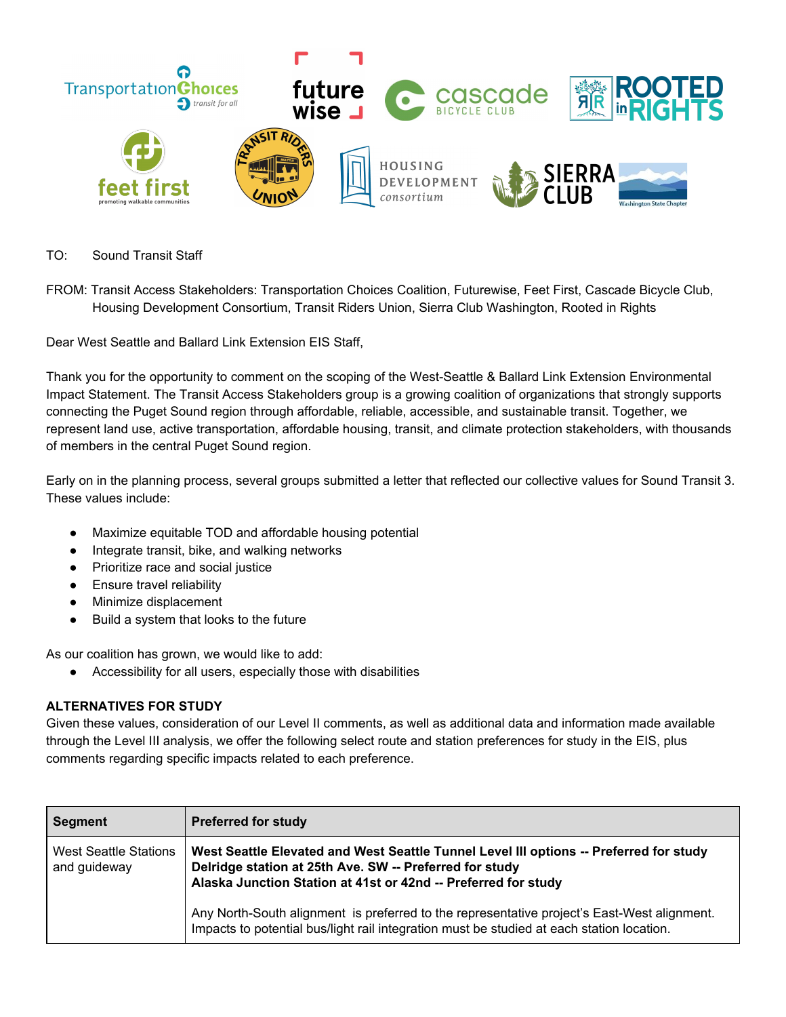

- TO: Sound Transit Staff
- FROM: Transit Access Stakeholders: Transportation Choices Coalition, Futurewise, Feet First, Cascade Bicycle Club, Housing Development Consortium, Transit Riders Union, Sierra Club Washington, Rooted in Rights

Dear West Seattle and Ballard Link Extension EIS Staff,

Thank you for the opportunity to comment on the scoping of the West-Seattle & Ballard Link Extension Environmental Impact Statement. The Transit Access Stakeholders group is a growing coalition of organizations that strongly supports connecting the Puget Sound region through affordable, reliable, accessible, and sustainable transit. Together, we represent land use, active transportation, affordable housing, transit, and climate protection stakeholders, with thousands of members in the central Puget Sound region.

Early on in the planning process, several groups submitted a letter that reflected our collective values for Sound Transit 3. These values include:

- Maximize equitable TOD and affordable housing potential
- Integrate transit, bike, and walking networks
- Prioritize race and social justice
- Ensure travel reliability
- Minimize displacement
- Build a system that looks to the future

As our coalition has grown, we would like to add:

● Accessibility for all users, especially those with disabilities

# **ALTERNATIVES FOR STUDY**

Given these values, consideration of our Level II comments, as well as additional data and information made available through the Level III analysis, we offer the following select route and station preferences for study in the EIS, plus comments regarding specific impacts related to each preference.

| <b>Segment</b>                               | <b>Preferred for study</b>                                                                                                                                                                                          |
|----------------------------------------------|---------------------------------------------------------------------------------------------------------------------------------------------------------------------------------------------------------------------|
| <b>West Seattle Stations</b><br>and guideway | West Seattle Elevated and West Seattle Tunnel Level III options -- Preferred for study<br>Delridge station at 25th Ave. SW -- Preferred for study<br>Alaska Junction Station at 41st or 42nd -- Preferred for study |
|                                              | Any North-South alignment is preferred to the representative project's East-West alignment.<br>Impacts to potential bus/light rail integration must be studied at each station location.                            |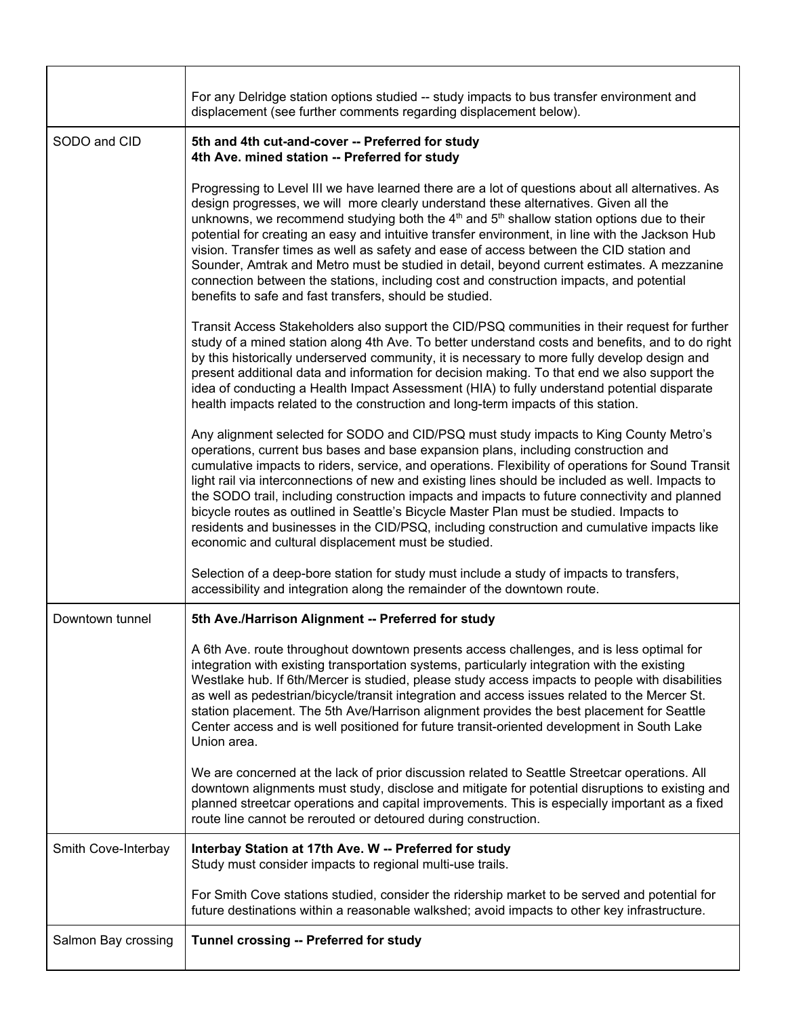|                     | For any Delridge station options studied -- study impacts to bus transfer environment and<br>displacement (see further comments regarding displacement below).                                                                                                                                                                                                                                                                                                                                                                                                                                                                                                                                                                              |
|---------------------|---------------------------------------------------------------------------------------------------------------------------------------------------------------------------------------------------------------------------------------------------------------------------------------------------------------------------------------------------------------------------------------------------------------------------------------------------------------------------------------------------------------------------------------------------------------------------------------------------------------------------------------------------------------------------------------------------------------------------------------------|
| SODO and CID        | 5th and 4th cut-and-cover -- Preferred for study<br>4th Ave. mined station -- Preferred for study                                                                                                                                                                                                                                                                                                                                                                                                                                                                                                                                                                                                                                           |
|                     | Progressing to Level III we have learned there are a lot of questions about all alternatives. As<br>design progresses, we will more clearly understand these alternatives. Given all the<br>unknowns, we recommend studying both the $4th$ and $5th$ shallow station options due to their<br>potential for creating an easy and intuitive transfer environment, in line with the Jackson Hub<br>vision. Transfer times as well as safety and ease of access between the CID station and<br>Sounder, Amtrak and Metro must be studied in detail, beyond current estimates. A mezzanine<br>connection between the stations, including cost and construction impacts, and potential<br>benefits to safe and fast transfers, should be studied. |
|                     | Transit Access Stakeholders also support the CID/PSQ communities in their request for further<br>study of a mined station along 4th Ave. To better understand costs and benefits, and to do right<br>by this historically underserved community, it is necessary to more fully develop design and<br>present additional data and information for decision making. To that end we also support the<br>idea of conducting a Health Impact Assessment (HIA) to fully understand potential disparate<br>health impacts related to the construction and long-term impacts of this station.                                                                                                                                                       |
|                     | Any alignment selected for SODO and CID/PSQ must study impacts to King County Metro's<br>operations, current bus bases and base expansion plans, including construction and<br>cumulative impacts to riders, service, and operations. Flexibility of operations for Sound Transit<br>light rail via interconnections of new and existing lines should be included as well. Impacts to<br>the SODO trail, including construction impacts and impacts to future connectivity and planned<br>bicycle routes as outlined in Seattle's Bicycle Master Plan must be studied. Impacts to<br>residents and businesses in the CID/PSQ, including construction and cumulative impacts like<br>economic and cultural displacement must be studied.     |
|                     | Selection of a deep-bore station for study must include a study of impacts to transfers,<br>accessibility and integration along the remainder of the downtown route.                                                                                                                                                                                                                                                                                                                                                                                                                                                                                                                                                                        |
| Downtown tunnel     | 5th Ave./Harrison Alignment -- Preferred for study                                                                                                                                                                                                                                                                                                                                                                                                                                                                                                                                                                                                                                                                                          |
|                     | A 6th Ave. route throughout downtown presents access challenges, and is less optimal for<br>integration with existing transportation systems, particularly integration with the existing<br>Westlake hub. If 6th/Mercer is studied, please study access impacts to people with disabilities<br>as well as pedestrian/bicycle/transit integration and access issues related to the Mercer St.<br>station placement. The 5th Ave/Harrison alignment provides the best placement for Seattle<br>Center access and is well positioned for future transit-oriented development in South Lake<br>Union area.                                                                                                                                      |
|                     | We are concerned at the lack of prior discussion related to Seattle Streetcar operations. All<br>downtown alignments must study, disclose and mitigate for potential disruptions to existing and<br>planned streetcar operations and capital improvements. This is especially important as a fixed<br>route line cannot be rerouted or detoured during construction.                                                                                                                                                                                                                                                                                                                                                                        |
| Smith Cove-Interbay | Interbay Station at 17th Ave. W -- Preferred for study<br>Study must consider impacts to regional multi-use trails.                                                                                                                                                                                                                                                                                                                                                                                                                                                                                                                                                                                                                         |
|                     | For Smith Cove stations studied, consider the ridership market to be served and potential for<br>future destinations within a reasonable walkshed; avoid impacts to other key infrastructure.                                                                                                                                                                                                                                                                                                                                                                                                                                                                                                                                               |
| Salmon Bay crossing | Tunnel crossing -- Preferred for study                                                                                                                                                                                                                                                                                                                                                                                                                                                                                                                                                                                                                                                                                                      |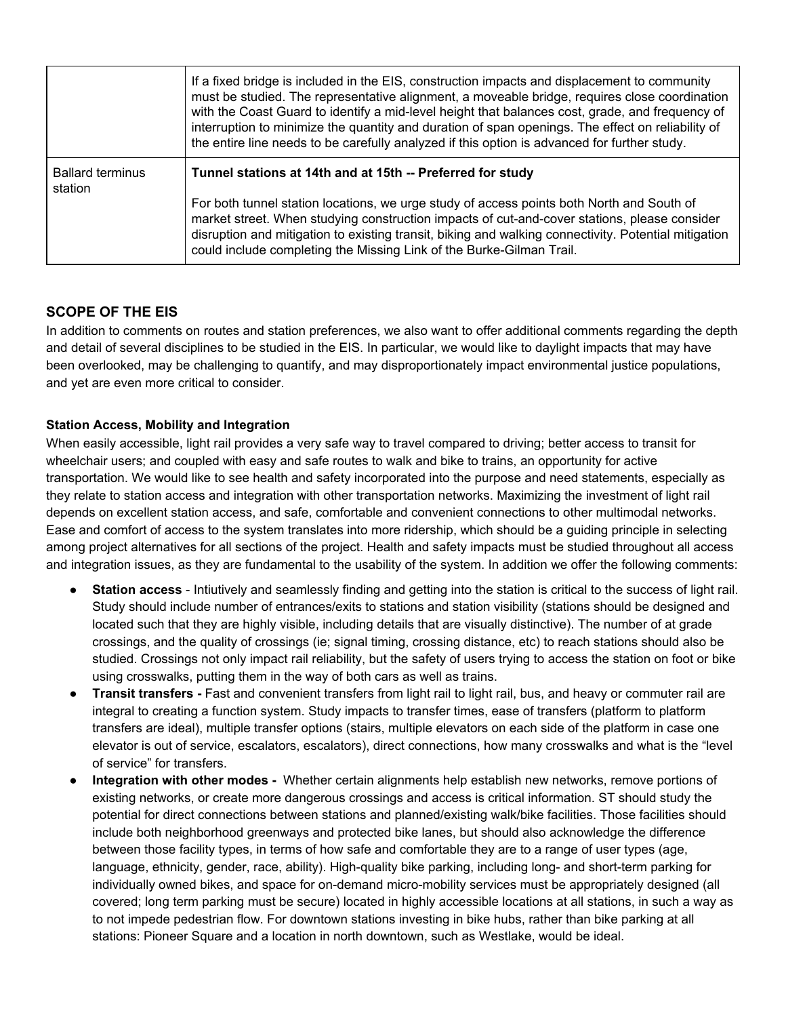|                                    | If a fixed bridge is included in the EIS, construction impacts and displacement to community<br>must be studied. The representative alignment, a moveable bridge, requires close coordination<br>with the Coast Guard to identify a mid-level height that balances cost, grade, and frequency of<br>interruption to minimize the quantity and duration of span openings. The effect on reliability of<br>the entire line needs to be carefully analyzed if this option is advanced for further study. |
|------------------------------------|-------------------------------------------------------------------------------------------------------------------------------------------------------------------------------------------------------------------------------------------------------------------------------------------------------------------------------------------------------------------------------------------------------------------------------------------------------------------------------------------------------|
| <b>Ballard terminus</b><br>station | Tunnel stations at 14th and at 15th -- Preferred for study                                                                                                                                                                                                                                                                                                                                                                                                                                            |
|                                    | For both tunnel station locations, we urge study of access points both North and South of<br>market street. When studying construction impacts of cut-and-cover stations, please consider<br>disruption and mitigation to existing transit, biking and walking connectivity. Potential mitigation<br>could include completing the Missing Link of the Burke-Gilman Trail.                                                                                                                             |

# **SCOPE OF THE EIS**

In addition to comments on routes and station preferences, we also want to offer additional comments regarding the depth and detail of several disciplines to be studied in the EIS. In particular, we would like to daylight impacts that may have been overlooked, may be challenging to quantify, and may disproportionately impact environmental justice populations, and yet are even more critical to consider.

### **Station Access, Mobility and Integration**

When easily accessible, light rail provides a very safe way to travel compared to driving; better access to transit for wheelchair users; and coupled with easy and safe routes to walk and bike to trains, an opportunity for active transportation. We would like to see health and safety incorporated into the purpose and need statements, especially as they relate to station access and integration with other transportation networks. Maximizing the investment of light rail depends on excellent station access, and safe, comfortable and convenient connections to other multimodal networks. Ease and comfort of access to the system translates into more ridership, which should be a guiding principle in selecting among project alternatives for all sections of the project. Health and safety impacts must be studied throughout all access and integration issues, as they are fundamental to the usability of the system. In addition we offer the following comments:

- **Station access** Intiutively and seamlessly finding and getting into the station is critical to the success of light rail. Study should include number of entrances/exits to stations and station visibility (stations should be designed and located such that they are highly visible, including details that are visually distinctive). The number of at grade crossings, and the quality of crossings (ie; signal timing, crossing distance, etc) to reach stations should also be studied. Crossings not only impact rail reliability, but the safety of users trying to access the station on foot or bike using crosswalks, putting them in the way of both cars as well as trains.
- **Transit transfers** Fast and convenient transfers from light rail to light rail, bus, and heavy or commuter rail are integral to creating a function system. Study impacts to transfer times, ease of transfers (platform to platform transfers are ideal), multiple transfer options (stairs, multiple elevators on each side of the platform in case one elevator is out of service, escalators, escalators), direct connections, how many crosswalks and what is the "level of service" for transfers.
- **Integration with other modes -** Whether certain alignments help establish new networks, remove portions of existing networks, or create more dangerous crossings and access is critical information. ST should study the potential for direct connections between stations and planned/existing walk/bike facilities. Those facilities should include both neighborhood greenways and protected bike lanes, but should also acknowledge the difference between those facility types, in terms of how safe and comfortable they are to a range of user types (age, language, ethnicity, gender, race, ability). High-quality bike parking, including long- and short-term parking for individually owned bikes, and space for on-demand micro-mobility services must be appropriately designed (all covered; long term parking must be secure) located in highly accessible locations at all stations, in such a way as to not impede pedestrian flow. For downtown stations investing in bike hubs, rather than bike parking at all stations: Pioneer Square and a location in north downtown, such as Westlake, would be ideal.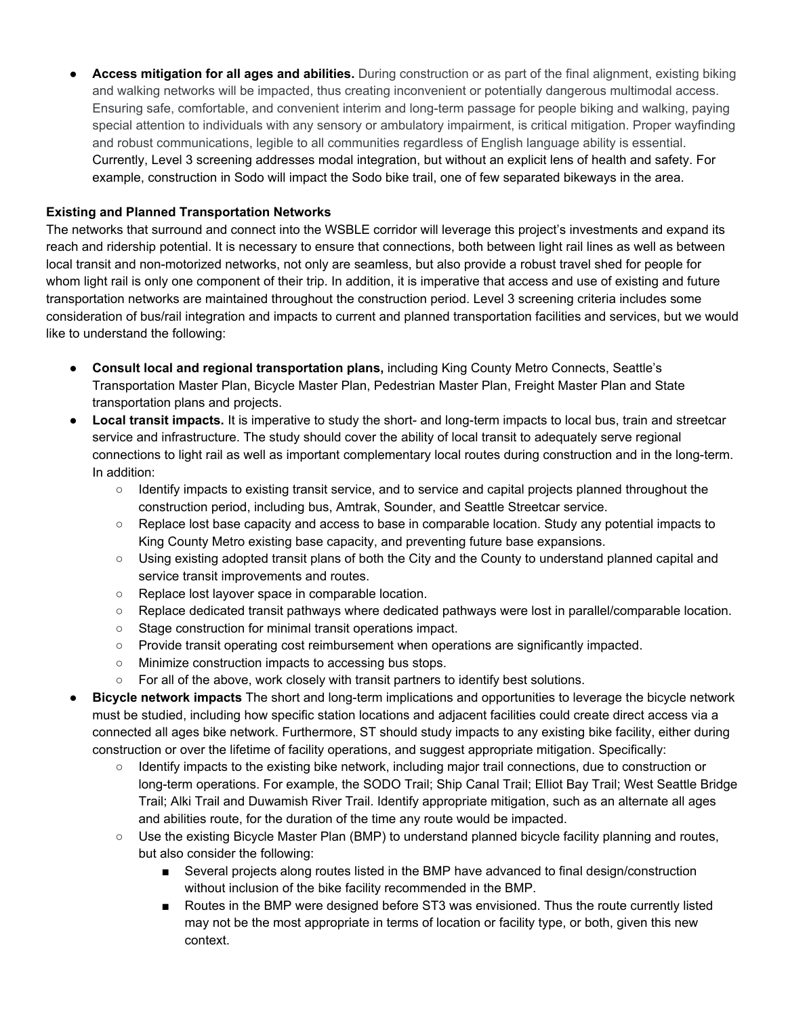● **Access mitigation for all ages and abilities.** During construction or as part of the final alignment, existing biking and walking networks will be impacted, thus creating inconvenient or potentially dangerous multimodal access. Ensuring safe, comfortable, and convenient interim and long-term passage for people biking and walking, paying special attention to individuals with any sensory or ambulatory impairment, is critical mitigation. Proper wayfinding and robust communications, legible to all communities regardless of English language ability is essential. Currently, Level 3 screening addresses modal integration, but without an explicit lens of health and safety. For example, construction in Sodo will impact the Sodo bike trail, one of few separated bikeways in the area.

## **Existing and Planned Transportation Networks**

The networks that surround and connect into the WSBLE corridor will leverage this project's investments and expand its reach and ridership potential. It is necessary to ensure that connections, both between light rail lines as well as between local transit and non-motorized networks, not only are seamless, but also provide a robust travel shed for people for whom light rail is only one component of their trip. In addition, it is imperative that access and use of existing and future transportation networks are maintained throughout the construction period. Level 3 screening criteria includes some consideration of bus/rail integration and impacts to current and planned transportation facilities and services, but we would like to understand the following:

- **● Consult local and regional transportation plans,** including King County Metro Connects, Seattle's Transportation Master Plan, Bicycle Master Plan, Pedestrian Master Plan, Freight Master Plan and State transportation plans and projects.
- **● Local transit impacts.** It is imperative to study the short- and long-term impacts to local bus, train and streetcar service and infrastructure. The study should cover the ability of local transit to adequately serve regional connections to light rail as well as important complementary local routes during construction and in the long-term. In addition:
	- Identify impacts to existing transit service, and to service and capital projects planned throughout the construction period, including bus, Amtrak, Sounder, and Seattle Streetcar service.
	- Replace lost base capacity and access to base in comparable location. Study any potential impacts to King County Metro existing base capacity, and preventing future base expansions.
	- Using existing adopted transit plans of both the City and the County to understand planned capital and service transit improvements and routes.
	- Replace lost layover space in comparable location.
	- Replace dedicated transit pathways where dedicated pathways were lost in parallel/comparable location.
	- Stage construction for minimal transit operations impact.
	- Provide transit operating cost reimbursement when operations are significantly impacted.
	- Minimize construction impacts to accessing bus stops.
	- $\circ$  For all of the above, work closely with transit partners to identify best solutions.
- **● Bicycle network impacts** The short and long-term implications and opportunities to leverage the bicycle network must be studied, including how specific station locations and adjacent facilities could create direct access via a connected all ages bike network. Furthermore, ST should study impacts to any existing bike facility, either during construction or over the lifetime of facility operations, and suggest appropriate mitigation. Specifically:
	- Identify impacts to the existing bike network, including major trail connections, due to construction or long-term operations. For example, the SODO Trail; Ship Canal Trail; Elliot Bay Trail; West Seattle Bridge Trail; Alki Trail and Duwamish River Trail. Identify appropriate mitigation, such as an alternate all ages and abilities route, for the duration of the time any route would be impacted.
	- Use the existing Bicycle Master Plan (BMP) to understand planned bicycle facility planning and routes, but also consider the following:
		- Several projects along routes listed in the BMP have advanced to final design/construction without inclusion of the bike facility recommended in the BMP.
		- Routes in the BMP were designed before ST3 was envisioned. Thus the route currently listed may not be the most appropriate in terms of location or facility type, or both, given this new context.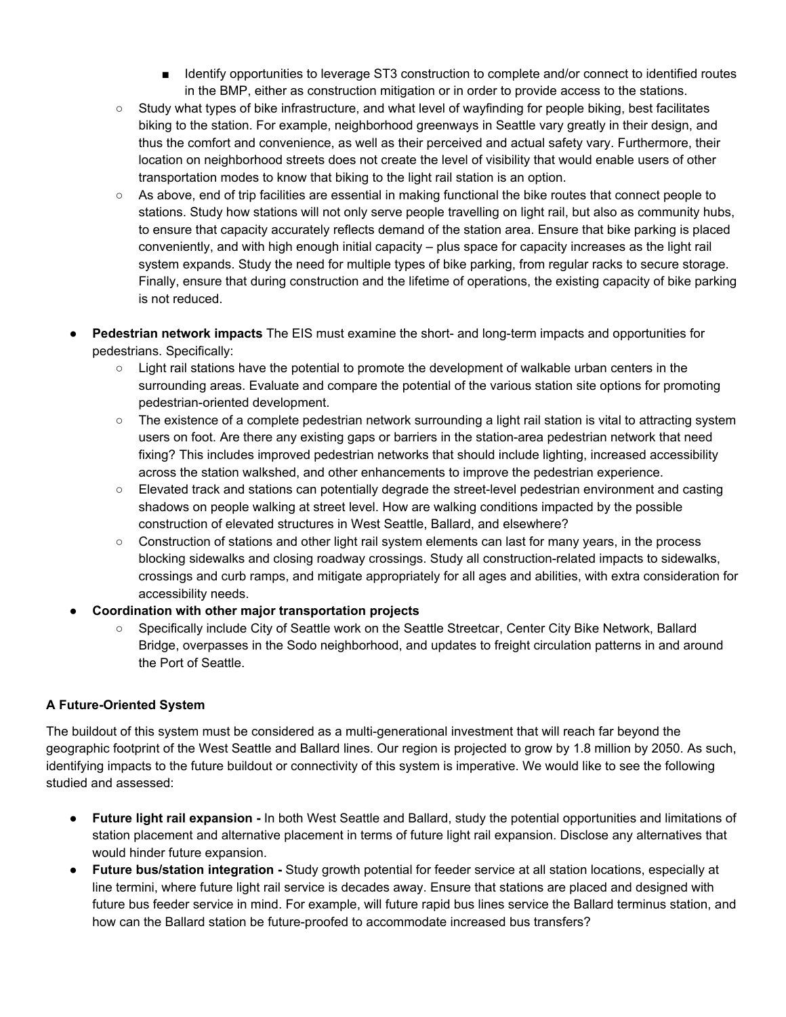- Identify opportunities to leverage ST3 construction to complete and/or connect to identified routes in the BMP, either as construction mitigation or in order to provide access to the stations.
- Study what types of bike infrastructure, and what level of wayfinding for people biking, best facilitates biking to the station. For example, neighborhood greenways in Seattle vary greatly in their design, and thus the comfort and convenience, as well as their perceived and actual safety vary. Furthermore, their location on neighborhood streets does not create the level of visibility that would enable users of other transportation modes to know that biking to the light rail station is an option.
- As above, end of trip facilities are essential in making functional the bike routes that connect people to stations. Study how stations will not only serve people travelling on light rail, but also as community hubs, to ensure that capacity accurately reflects demand of the station area. Ensure that bike parking is placed conveniently, and with high enough initial capacity – plus space for capacity increases as the light rail system expands. Study the need for multiple types of bike parking, from regular racks to secure storage. Finally, ensure that during construction and the lifetime of operations, the existing capacity of bike parking is not reduced.
- **● Pedestrian network impacts** The EIS must examine the short- and long-term impacts and opportunities for pedestrians. Specifically:
	- Light rail stations have the potential to promote the development of walkable urban centers in the surrounding areas. Evaluate and compare the potential of the various station site options for promoting pedestrian-oriented development.
	- The existence of a complete pedestrian network surrounding a light rail station is vital to attracting system users on foot. Are there any existing gaps or barriers in the station-area pedestrian network that need fixing? This includes improved pedestrian networks that should include lighting, increased accessibility across the station walkshed, and other enhancements to improve the pedestrian experience.
	- Elevated track and stations can potentially degrade the street-level pedestrian environment and casting shadows on people walking at street level. How are walking conditions impacted by the possible construction of elevated structures in West Seattle, Ballard, and elsewhere?
	- Construction of stations and other light rail system elements can last for many years, in the process blocking sidewalks and closing roadway crossings. Study all construction-related impacts to sidewalks, crossings and curb ramps, and mitigate appropriately for all ages and abilities, with extra consideration for accessibility needs.
- **Coordination with other major transportation projects**
	- Specifically include City of Seattle work on the Seattle Streetcar, Center City Bike Network, Ballard Bridge, overpasses in the Sodo neighborhood, and updates to freight circulation patterns in and around the Port of Seattle.

# **A Future-Oriented System**

The buildout of this system must be considered as a multi-generational investment that will reach far beyond the geographic footprint of the West Seattle and Ballard lines. Our region is projected to grow by 1.8 million by 2050. As such, identifying impacts to the future buildout or connectivity of this system is imperative. We would like to see the following studied and assessed:

- **● Future light rail expansion -** In both West Seattle and Ballard, study the potential opportunities and limitations of station placement and alternative placement in terms of future light rail expansion. Disclose any alternatives that would hinder future expansion.
- **● Future bus/station integration -** Study growth potential for feeder service at all station locations, especially at line termini, where future light rail service is decades away. Ensure that stations are placed and designed with future bus feeder service in mind. For example, will future rapid bus lines service the Ballard terminus station, and how can the Ballard station be future-proofed to accommodate increased bus transfers?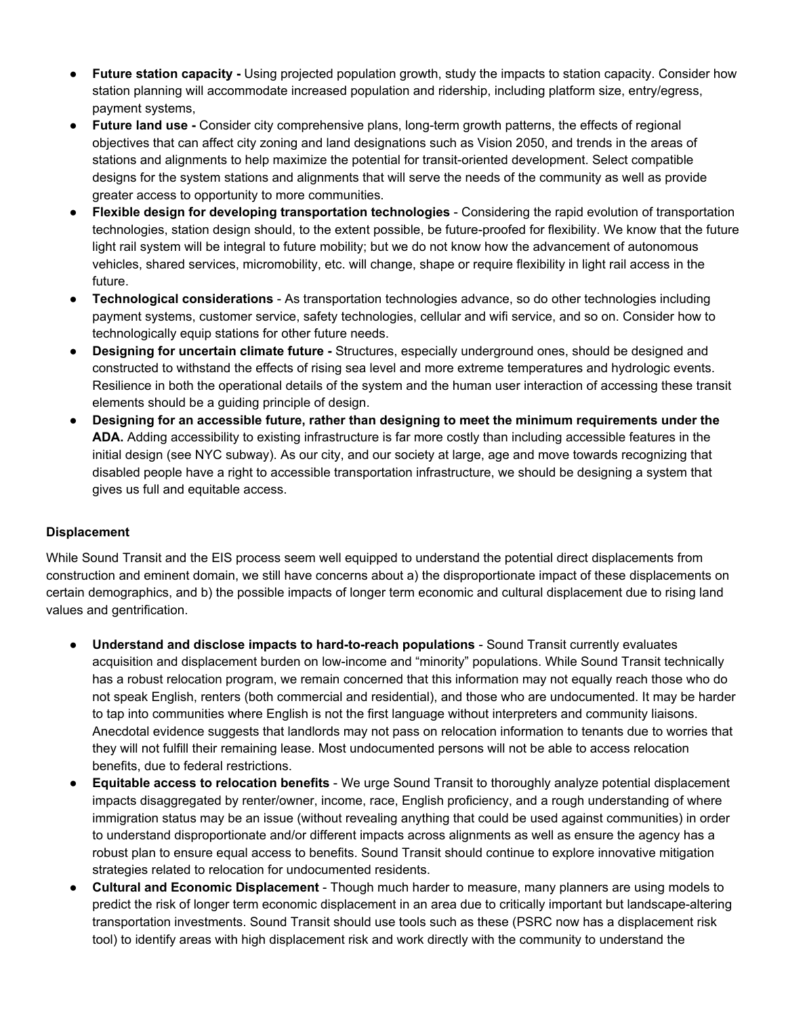- **● Future station capacity -** Using projected population growth, study the impacts to station capacity. Consider how station planning will accommodate increased population and ridership, including platform size, entry/egress, payment systems,
- **Future land use -** Consider city comprehensive plans, long-term growth patterns, the effects of regional objectives that can affect city zoning and land designations such as Vision 2050, and trends in the areas of stations and alignments to help maximize the potential for transit-oriented development. Select compatible designs for the system stations and alignments that will serve the needs of the community as well as provide greater access to opportunity to more communities.
- **Flexible design for developing transportation technologies** Considering the rapid evolution of transportation technologies, station design should, to the extent possible, be future-proofed for flexibility. We know that the future light rail system will be integral to future mobility; but we do not know how the advancement of autonomous vehicles, shared services, micromobility, etc. will change, shape or require flexibility in light rail access in the future.
- **Technological considerations** As transportation technologies advance, so do other technologies including payment systems, customer service, safety technologies, cellular and wifi service, and so on. Consider how to technologically equip stations for other future needs.
- **Designing for uncertain climate future -** Structures, especially underground ones, should be designed and constructed to withstand the effects of rising sea level and more extreme temperatures and hydrologic events. Resilience in both the operational details of the system and the human user interaction of accessing these transit elements should be a guiding principle of design.
- **Designing for an accessible future, rather than designing to meet the minimum requirements under the ADA.** Adding accessibility to existing infrastructure is far more costly than including accessible features in the initial design (see NYC subway). As our city, and our society at large, age and move towards recognizing that disabled people have a right to accessible transportation infrastructure, we should be designing a system that gives us full and equitable access.

### **Displacement**

While Sound Transit and the EIS process seem well equipped to understand the potential direct displacements from construction and eminent domain, we still have concerns about a) the disproportionate impact of these displacements on certain demographics, and b) the possible impacts of longer term economic and cultural displacement due to rising land values and gentrification.

- **Understand and disclose impacts to hard-to-reach populations** Sound Transit currently evaluates acquisition and displacement burden on low-income and "minority" populations. While Sound Transit technically has a robust relocation program, we remain concerned that this information may not equally reach those who do not speak English, renters (both commercial and residential), and those who are undocumented. It may be harder to tap into communities where English is not the first language without interpreters and community liaisons. Anecdotal evidence suggests that landlords may not pass on relocation information to tenants due to worries that they will not fulfill their remaining lease. Most undocumented persons will not be able to access relocation benefits, due to federal restrictions.
- **Equitable access to relocation benefits** We urge Sound Transit to thoroughly analyze potential displacement impacts disaggregated by renter/owner, income, race, English proficiency, and a rough understanding of where immigration status may be an issue (without revealing anything that could be used against communities) in order to understand disproportionate and/or different impacts across alignments as well as ensure the agency has a robust plan to ensure equal access to benefits. Sound Transit should continue to explore innovative mitigation strategies related to relocation for undocumented residents.
- **Cultural and Economic Displacement** Though much harder to measure, many planners are using models to predict the risk of longer term economic displacement in an area due to critically important but landscape-altering transportation investments. Sound Transit should use tools such as these (PSRC now has a displacement risk tool) to identify areas with high displacement risk and work directly with the community to understand the